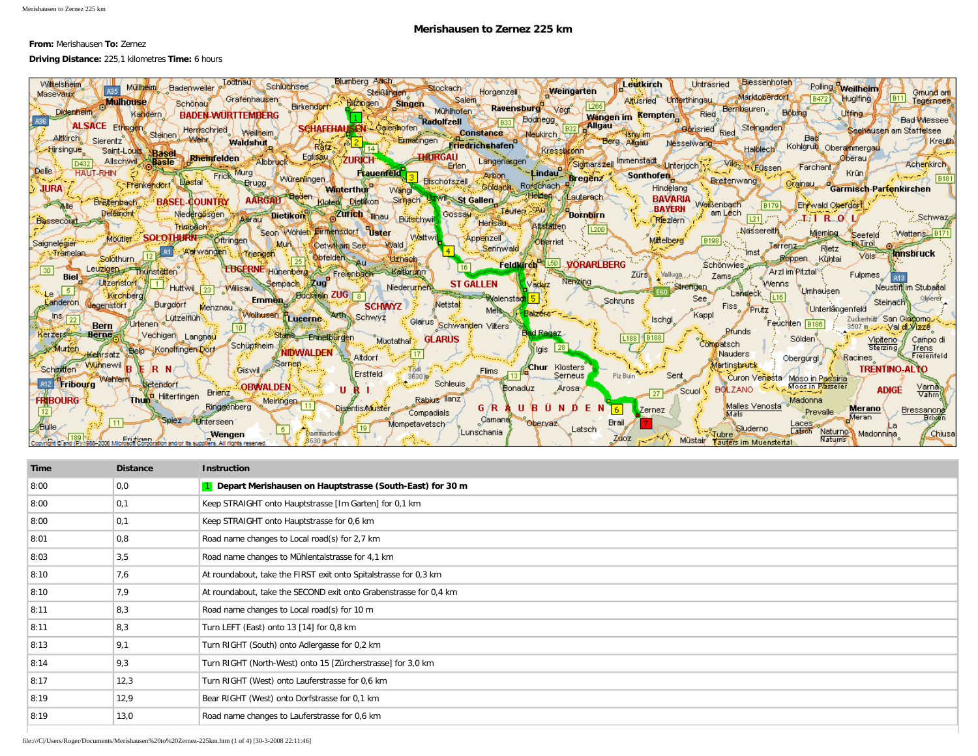## **Merishausen to Zernez 225 km**

## **From:** Merishausen **To:** Zernez

## **Driving Distance:** 225,1 kilometres **Time:** 6 hours

| Elumberg Assa<br>Todtnay Schluchsee<br><b>Biessenhofen</b><br><b>Wittelsheim</b><br>Leutkirch<br>Untrasried<br>Müllheim Badenweiler<br>Stockach/<br><b>Weilheim</b><br>Weingarten<br>. Horgenzell)                                                           |
|--------------------------------------------------------------------------------------------------------------------------------------------------------------------------------------------------------------------------------------------------------------|
| Steißlingen T<br>Gmund am<br>Masevaux<br>Marktoberdorf<br>  B11 <br>Hugifing<br>Grafenhausen Birkendom Birkendom Singen Mühlhöfen<br>Altusried Unterthingau<br>Tegerasee<br>Mulhouse<br>Schönau                                                              |
| Ravensburg voor<br>Wangen im Kempten Ried Bernkeuren Bobing<br><b>Didenheim</b><br>Uffing<br>Kandern )<br><b>BADEN-WURTTEMBERG</b>                                                                                                                           |
| Radolfzell Boghegg Wangen in Kempten<br>Philippe Constance Meukirch Big Allgau Boghen Constance<br><b>Bad Wessee</b><br>SCHAFFHAUSEN Salerihofen<br><b>ALSACE Etringen</b><br>Herdischried (<br>— Seehausen am Staffelsee<br>Weilheim                        |
| & Steinen (<br>Ratz Se 2<br><b>SAMBIA</b><br>Sierentz<br>Eumatingen Friedrichshafen<br><b>T</b> Kreuth<br><b>Waldshut</b><br>Nesselwang<br>Kohldruk                                                                                                          |
| Kressborn Berg Angau<br><b>Halblech</b><br>Oberammergau<br>र्ष 14 b<br>Hirsingue<br>Saint-Louis Basel<br>Eglissau<br>THURGAU<br><b>Rheinfelden</b><br><b>ZURICH</b><br>Øberau i                                                                              |
| Allschwill<br>Albbruck<br>Erlen Langenargen<br><b>Basle</b><br>D <sub>432</sub><br><b>Achenkirch</b><br>Farchant<br><b>HANT-RHIN</b><br>Krünl<br><b>Frauenfeld</b>                                                                                           |
| Eindau Sigmarszell Immenstadt Linterjoch Tr. Zwisch-Füssen<br>Eindau Bregenz Sonthofen<br>Arbon<br>Frick Prugg<br><b>B181</b><br>Würenlingen<br><b>Bischofszell</b><br>Grainau d<br>Liestal i<br><b>CoFrenkendorf</b><br>Goldach<br>Sa (<br><b>Roischach</b> |
| <b>JURA</b><br>Hindelang<br>Garmisch-Partenkirchen<br><b>Winterthur</b><br>Wangi <sup>-</sup><br><b>Baden</b><br><b>BAVARIA</b><br>Hemery<br>Aauterach<br><b>Uzwill St Gallen</b><br><b>AARGAU</b><br>Sinnach                                                |
| <b>BASED-COUNTRY</b><br>Kleten Dietikon<br><b>Breitenbach</b><br><b>PO SAIR</b><br>Weißenbach<br>Ehrwald Oberdorf<br>19179k<br><b>BAYERN</b><br><b>Teuren Austral</b><br>am Lech<br><b>Delemont</b><br>Gossau<br><b>Boknbirn</b><br>Niedergøsgen             |
| Zurich Ilhau Bütschwill<br><b>Dietikon</b><br><u>्र</u> े,Schwaz<br>$\boxed{21}$ , $\boxed{2}$<br>Aerau<br>C-T/J   R-J0( L/<br><b>Riezlern</b><br><b>Bassecout</b><br>Herisau<br>Trimback                                                                    |
| 1200<br>. Nassereith<br>Seon Wohlen Birmensdorf Uster / Wattwith<br>Miemina.<br>Watteriss B171<br>Seefeld<br>Moutier SOLOTHURN Offringen<br>Appenzell<br>Mittelberg<br> B198                                                                                 |
| Muri Cety ham See<br>Wald<br><b>Larrenz</b><br>Rjetz<br>Sennwald<br>12 Al Alarwangen<br>$^{\circ}$ lmst $\mathscr{P}$<br>-Tramelan<br><b>Annsbruck</b><br>Vols                                                                                               |
| Triengen<br>25 Opfelden<br>Solothurn<br>Roppen Kühtai<br><b>Uznach</b><br>Feldkirch <sup>Re</sup> L50<br><b>VÖRARLBERG</b><br>Schönwies<br>$\sqrt{16}$<br>Leuzigen Thunstellen                                                                               |
| <b>EDGERNE</b> Hünenberg Freienbach Kaltbrunn<br>Arzl im Pitztal<br>Zürst : Valluga<br>Fulpmes /<br>Zams,<br><b>Biel</b><br>Nenzing<br><b>Utzensfort</b><br>Sempach Zug<br><b>ST GALLEN</b>                                                                  |
| Wenns Umhausen Neustini im Stubaital<br>√aduz<br><b>EBOL</b> Strengen<br>Niederurnen<br>Huttwil 23 Willisau<br>Landeck [16]<br>Emmen Buchen ZUG 8<br>Kirchberg<br><del>Controll</del> Walenstadt                                                             |
| See:<br>Olpen<br>Sehruns<br>Steinach<br>anderon.<br>Netstal<br>Burgdorf<br>degenstörf<br>Fiss Prutz<br>Unterlängenfeld                                                                                                                                       |
| Mehznau Wolltusen Hugerne, Arth, Schwyz Glarus Schwanden Villers<br>Balzers <sup>-</sup><br>Kappl<br>DS(22)<br>Lützelflüh<br>Zuckerhütt <sup>7</sup> San Giadomo<br><b>Ischal</b><br>Feuchten B186<br>Urtenen <sup>®</sup><br>Bern                           |
| 3507 m. Val dl Vizze<br><b>Brunds</b><br><b>Gd Radaz</b><br><b>Berne</b><br><b>Kerzer@#FFE</b><br>Vechigen Langnau<br>Stan Ennetbürgen<br>I B188<br><b>GLARUS</b><br>L188<br>' Sölden <sup>y</sup><br>Muotathal <sup>*</sup><br>Vipiteno-A<br>Campo d        |
| Compatsch<br>∫Schüpfheim⊰<br>28<br>Sterzing <sub>d</sub><br>Belp Kongfingen Dorf<br>Murten<br>lre⊓s<br>i lais l<br><b>Nauders</b>                                                                                                                            |
| NIDWALDEN Altdorf<br>Kehrsatz<br>Racines Freienfeld<br>Obergurgl.<br><b>ESarnen</b><br><b>Wühnewil</b><br><b>Martinsbruck</b><br><b>Chur</b> Klosters                                                                                                        |
| JR N/ <sup>2</sup><br><b>TRENTINO-ALTO</b><br>Schmitten<br>∫ / Giswil /<br>Todi<br>Flims<br>Erstfeld<br>Serneus<br>Piz Buin<br>Sent<br>$3630 \text{ m}$<br>Curon Venesta Moso in Passiria<br>Wahlern                                                         |
| <b>Schleuis</b><br>A12 Fribourg<br>$S$ etendorf<br><b>COBWALDEN</b><br>Moos in Plasseier<br>Varna<br>URI.<br>Bonaduz<br><b>Arosa</b><br><b>BOLZANO</b><br><b>ADIGE</b><br>Scuol<br><b>Brienz</b><br>27<br>Vahm                                               |
| Thun Hilterfingen<br>Rabius llanz<br><b>BOURG</b><br>Madonna<br>Meiringen 11<br>Malles Venosta<br>Ringeenberg<br>G/R A U B U N D<br>EN<br><b>Disentis Muster</b><br><b>Merano</b>                                                                            |
| Zernez / )<br>Bressanory<br><b>Prevalle</b><br>Compadials<br>Mals<br>Meran<br>Camana,<br>Spiez Athterseen<br><b>Brail</b><br>Obervaz,                                                                                                                        |
| Mompetavetsch∙<br>Laces $\sim$<br>F 19<br>Sluderno<br>Latsch<br>م لگا.<br>Latsch Naturno<br> Lunschania <br>Madonnina i<br><u>'</u> Chiusa<br>Dammastod<br>Wengen<br><b>Tubre</b>                                                                            |
| Zdoz i<br>Naturns<br>Müstair Taufers im Muenstertal                                                                                                                                                                                                          |

| Time | <b>Distance</b> | <b>Instruction</b>                                                |
|------|-----------------|-------------------------------------------------------------------|
| 8:00 | 0,0             | 1 Depart Merishausen on Hauptstrasse (South-East) for 30 m        |
| 8:00 | 0,1             | Keep STRAIGHT onto Hauptstrasse [Im Garten] for 0,1 km            |
| 8:00 | 0,1             | Keep STRAIGHT onto Hauptstrasse for 0,6 km                        |
| 8:01 | 0,8             | Road name changes to Local road(s) for 2,7 km                     |
| 8:03 | 3,5             | Road name changes to Mühlentalstrasse for 4,1 km                  |
| 8:10 | 7,6             | At roundabout, take the FIRST exit onto Spitalstrasse for 0,3 km  |
| 8:10 | 7,9             | At roundabout, take the SECOND exit onto Grabenstrasse for 0,4 km |
| 8:11 | 8,3             | Road name changes to Local road(s) for 10 m                       |
| 8:11 | 8,3             | Turn LEFT (East) onto 13 [14] for 0,8 km                          |
| 8:13 | 9,1             | Turn RIGHT (South) onto Adlergasse for 0,2 km                     |
| 8:14 | 9,3             | Turn RIGHT (North-West) onto 15 [Zürcherstrasse] for 3,0 km       |
| 8:17 | 12,3            | Turn RIGHT (West) onto Lauferstrasse for 0,6 km                   |
| 8:19 | 12,9            | Bear RIGHT (West) onto Dorfstrasse for 0,1 km                     |
| 8:19 | 13,0            | Road name changes to Lauferstrasse for 0,6 km                     |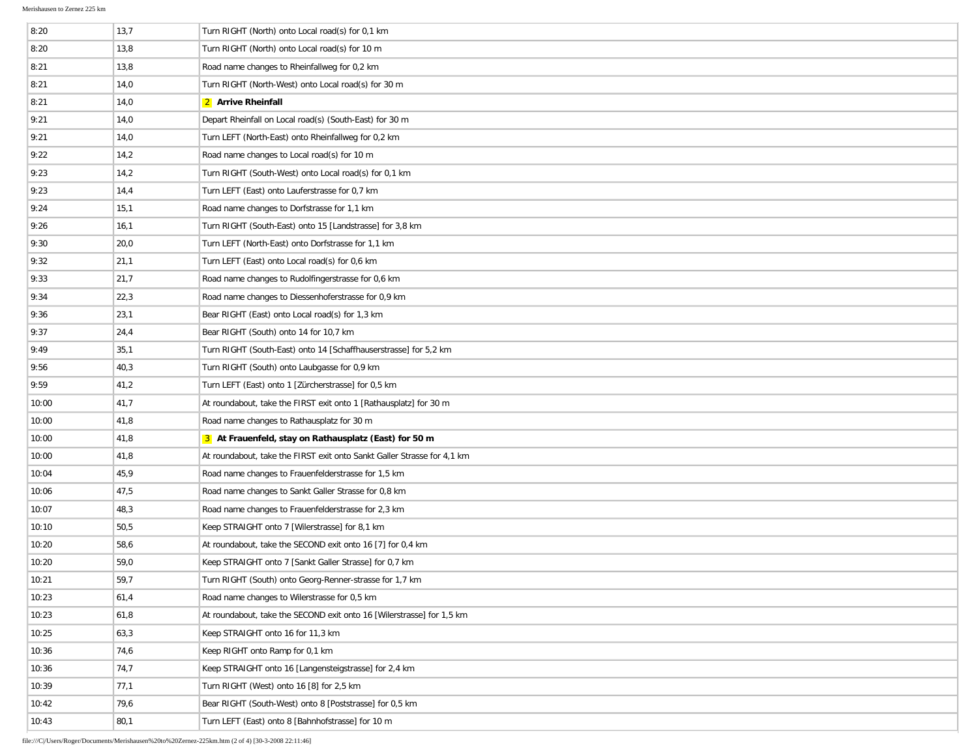| 8:20  | 13,7 | Turn RIGHT (North) onto Local road(s) for 0,1 km                        |
|-------|------|-------------------------------------------------------------------------|
| 8:20  | 13,8 | Turn RIGHT (North) onto Local road(s) for 10 m                          |
| 8:21  | 13,8 | Road name changes to Rheinfallweg for 0,2 km                            |
| 8:21  | 14,0 | Turn RIGHT (North-West) onto Local road(s) for 30 m                     |
| 8:21  | 14,0 | 2 Arrive Rheinfall                                                      |
| 9:21  | 14,0 | Depart Rheinfall on Local road(s) (South-East) for 30 m                 |
| 9:21  | 14,0 | Turn LEFT (North-East) onto Rheinfallweg for 0,2 km                     |
| 9:22  | 14,2 | Road name changes to Local road(s) for 10 m                             |
| 9:23  | 14,2 | Turn RIGHT (South-West) onto Local road(s) for 0,1 km                   |
| 9:23  | 14,4 | Turn LEFT (East) onto Lauferstrasse for 0,7 km                          |
| 9:24  | 15,1 | Road name changes to Dorfstrasse for 1,1 km                             |
| 9:26  | 16,1 | Turn RIGHT (South-East) onto 15 [Landstrasse] for 3,8 km                |
| 9:30  | 20,0 | Turn LEFT (North-East) onto Dorfstrasse for 1,1 km                      |
| 9:32  | 21,1 | Turn LEFT (East) onto Local road(s) for 0,6 km                          |
| 9:33  | 21,7 | Road name changes to Rudolfingerstrasse for 0,6 km                      |
| 9:34  | 22,3 | Road name changes to Diessenhoferstrasse for 0,9 km                     |
| 9:36  | 23,1 | Bear RIGHT (East) onto Local road(s) for 1,3 km                         |
| 9:37  | 24,4 | Bear RIGHT (South) onto 14 for 10,7 km                                  |
| 9:49  | 35,1 | Turn RIGHT (South-East) onto 14 [Schaffhauserstrasse] for 5,2 km        |
| 9:56  | 40,3 | Turn RIGHT (South) onto Laubgasse for 0,9 km                            |
| 9:59  | 41,2 | Turn LEFT (East) onto 1 [Zürcherstrasse] for 0,5 km                     |
| 10:00 | 41,7 | At roundabout, take the FIRST exit onto 1 [Rathausplatz] for 30 m       |
| 10:00 | 41,8 | Road name changes to Rathausplatz for 30 m                              |
| 10:00 | 41,8 | 3 At Frauenfeld, stay on Rathausplatz (East) for 50 m                   |
| 10:00 | 41,8 | At roundabout, take the FIRST exit onto Sankt Galler Strasse for 4,1 km |
| 10:04 | 45,9 | Road name changes to Frauenfelderstrasse for 1,5 km                     |
| 10:06 | 47,5 | Road name changes to Sankt Galler Strasse for 0,8 km                    |
| 10:07 | 48,3 | Road name changes to Frauenfelderstrasse for 2,3 km                     |
| 10:10 | 50,5 | Keep STRAIGHT onto 7 [Wilerstrasse] for 8,1 km                          |
| 10:20 | 58,6 | At roundabout, take the SECOND exit onto 16 [7] for 0,4 km              |
| 10:20 | 59,0 | Keep STRAIGHT onto 7 [Sankt Galler Strasse] for 0,7 km                  |
| 10:21 | 59,7 | Turn RIGHT (South) onto Georg-Renner-strasse for 1,7 km                 |
| 10:23 | 61,4 | Road name changes to Wilerstrasse for 0.5 km                            |
| 10:23 | 61,8 | At roundabout, take the SECOND exit onto 16 [Wilerstrasse] for 1,5 km   |
| 10:25 | 63,3 | Keep STRAIGHT onto 16 for 11,3 km                                       |
| 10:36 | 74,6 | Keep RIGHT onto Ramp for 0,1 km                                         |
| 10:36 | 74,7 | Keep STRAIGHT onto 16 [Langensteigstrasse] for 2,4 km                   |
| 10:39 | 77,1 | Turn RIGHT (West) onto 16 [8] for 2,5 km                                |
| 10:42 | 79,6 | Bear RIGHT (South-West) onto 8 [Poststrasse] for 0,5 km                 |
| 10:43 | 80,1 | Turn LEFT (East) onto 8 [Bahnhofstrasse] for 10 m                       |

file:///C|/Users/Roger/Documents/Merishausen%20to%20Zernez-225km.htm (2 of 4) [30-3-2008 22:11:46]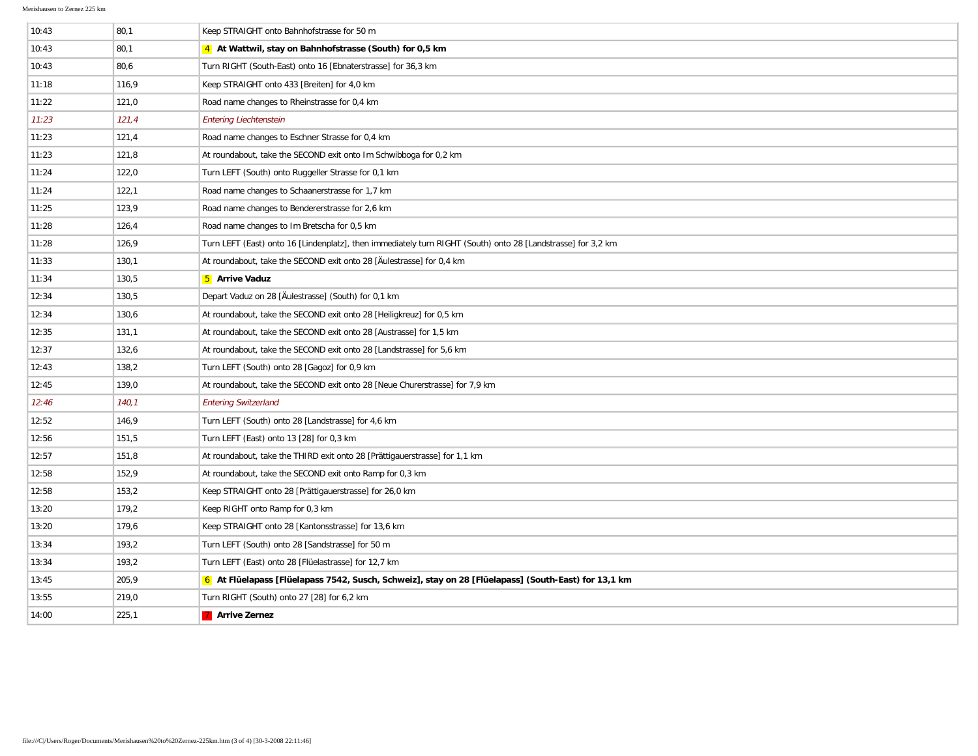| 10:43 | 80,1  | Keep STRAIGHT onto Bahnhofstrasse for 50 m                                                                   |
|-------|-------|--------------------------------------------------------------------------------------------------------------|
| 10:43 | 80,1  | 4 At Wattwil, stay on Bahnhofstrasse (South) for 0,5 km                                                      |
| 10:43 | 80,6  | Turn RIGHT (South-East) onto 16 [Ebnaterstrasse] for 36,3 km                                                 |
| 11:18 | 116,9 | Keep STRAIGHT onto 433 [Breiten] for 4,0 km                                                                  |
| 11:22 | 121,0 | Road name changes to Rheinstrasse for 0,4 km                                                                 |
| 11:23 | 121,4 | <b>Entering Liechtenstein</b>                                                                                |
| 11:23 | 121,4 | Road name changes to Eschner Strasse for 0,4 km                                                              |
| 11:23 | 121,8 | At roundabout, take the SECOND exit onto Im Schwibboga for 0,2 km                                            |
| 11:24 | 122,0 | Turn LEFT (South) onto Ruggeller Strasse for 0,1 km                                                          |
| 11:24 | 122,1 | Road name changes to Schaanerstrasse for 1,7 km                                                              |
| 11:25 | 123,9 | Road name changes to Bendererstrasse for 2,6 km                                                              |
| 11:28 | 126,4 | Road name changes to Im Bretscha for 0,5 km                                                                  |
| 11:28 | 126,9 | Turn LEFT (East) onto 16 [Lindenplatz], then immediately turn RIGHT (South) onto 28 [Landstrasse] for 3,2 km |
| 11:33 | 130,1 | At roundabout, take the SECOND exit onto 28 [Aulestrasse] for 0,4 km                                         |
| 11:34 | 130,5 | 5 Arrive Vaduz                                                                                               |
| 12:34 | 130,5 | Depart Vaduz on 28 [Äulestrasse] (South) for 0,1 km                                                          |
| 12:34 | 130,6 | At roundabout, take the SECOND exit onto 28 [Heiligkreuz] for 0,5 km                                         |
| 12:35 | 131,1 | At roundabout, take the SECOND exit onto 28 [Austrasse] for 1,5 km                                           |
| 12:37 | 132,6 | At roundabout, take the SECOND exit onto 28 [Landstrasse] for 5,6 km                                         |
| 12:43 | 138,2 | Turn LEFT (South) onto 28 [Gagoz] for 0,9 km                                                                 |
| 12:45 | 139,0 | At roundabout, take the SECOND exit onto 28 [Neue Churerstrasse] for 7,9 km                                  |
| 12:46 | 140,1 | <b>Entering Switzerland</b>                                                                                  |
| 12:52 | 146,9 | Turn LEFT (South) onto 28 [Landstrasse] for 4,6 km                                                           |
| 12:56 | 151,5 | Turn LEFT (East) onto 13 [28] for 0,3 km                                                                     |
| 12:57 | 151,8 | At roundabout, take the THIRD exit onto 28 [Prättigauerstrasse] for 1,1 km                                   |
| 12:58 | 152,9 | At roundabout, take the SECOND exit onto Ramp for 0,3 km                                                     |
| 12:58 | 153,2 | Keep STRAIGHT onto 28 [Prättigauerstrasse] for 26,0 km                                                       |
| 13:20 | 179,2 | Keep RIGHT onto Ramp for 0,3 km                                                                              |
| 13:20 | 179,6 | Keep STRAIGHT onto 28 [Kantonsstrasse] for 13,6 km                                                           |
| 13:34 | 193,2 | Turn LEFT (South) onto 28 [Sandstrasse] for 50 m                                                             |
| 13:34 | 193,2 | Turn LEFT (East) onto 28 [Flüelastrasse] for 12,7 km                                                         |
| 13:45 | 205,9 | 6 At Flüelapass [Flüelapass 7542, Susch, Schweiz], stay on 28 [Flüelapass] (South-East) for 13,1 km          |
| 13:55 | 219,0 | Turn RIGHT (South) onto 27 [28] for 6,2 km                                                                   |
| 14:00 | 225,1 | 7 Arrive Zernez                                                                                              |